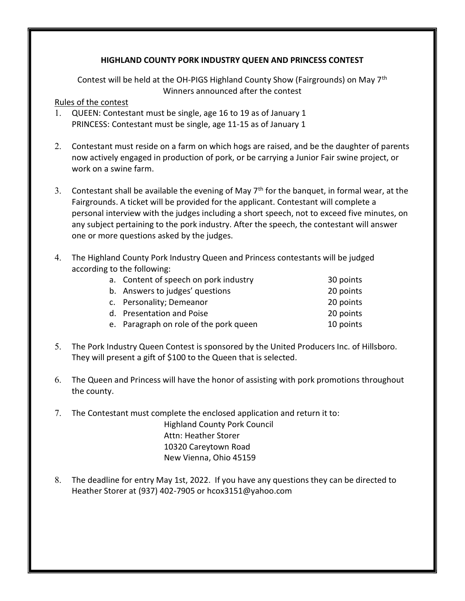## HIGHLAND COUNTY PORK INDUSTRY QUEEN AND PRINCESS CONTEST

Contest will be held at the OH-PIGS Highland County Show (Fairgrounds) on May 7th Winners announced after the contest

## Rules of the contest

- 1. QUEEN: Contestant must be single, age 16 to 19 as of January 1 PRINCESS: Contestant must be single, age 11-15 as of January 1
- 2. Contestant must reside on a farm on which hogs are raised, and be the daughter of parents now actively engaged in production of pork, or be carrying a Junior Fair swine project, or work on a swine farm.
- 3. Contestant shall be available the evening of May  $7<sup>th</sup>$  for the banquet, in formal wear, at the Fairgrounds. A ticket will be provided for the applicant. Contestant will complete a personal interview with the judges including a short speech, not to exceed five minutes, on any subject pertaining to the pork industry. After the speech, the contestant will answer one or more questions asked by the judges.
- 4. The Highland County Pork Industry Queen and Princess contestants will be judged according to the following:

| a. Content of speech on pork industry  | 30 points |
|----------------------------------------|-----------|
| b. Answers to judges' questions        | 20 points |
| c. Personality; Demeanor               | 20 points |
| d. Presentation and Poise              | 20 points |
| e. Paragraph on role of the pork queen | 10 points |

- 5. The Pork Industry Queen Contest is sponsored by the United Producers Inc. of Hillsboro. They will present a gift of \$100 to the Queen that is selected.
- 6. The Queen and Princess will have the honor of assisting with pork promotions throughout the county.
- 7. The Contestant must complete the enclosed application and return it to: Highland County Pork Council Attn: Heather Storer 10320 Careytown Road New Vienna, Ohio 45159
- 8. The deadline for entry May 1st, 2022. If you have any questions they can be directed to Heather Storer at (937) 402-7905 or hcox3151@yahoo.com